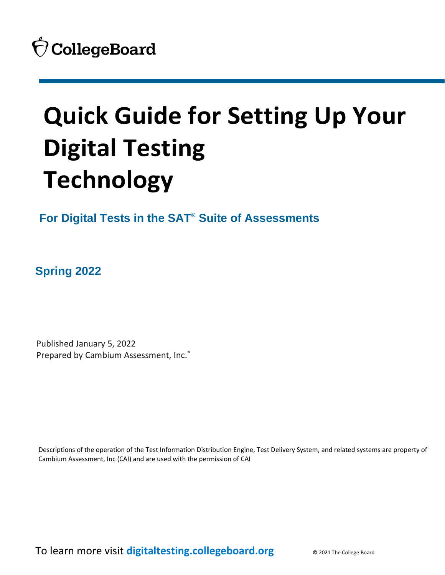# **Quick Guide for Setting Up Your Digital Testing Technology**

**For Digital Tests in the SAT® Suite of Assessments**

**Spring 2022**

 Published January 5, 2022 Prepared by Cambium Assessment, Inc.®

Descriptions of the operation of the Test Information Distribution Engine, Test Delivery System, and related systems are property of Cambium Assessment, Inc (CAI) and are used with the permission of CAI

To learn more visit **[digitaltesting.collegeboard.org](https://digitaltesting.collegeboard.org/)** © 2021 The College Board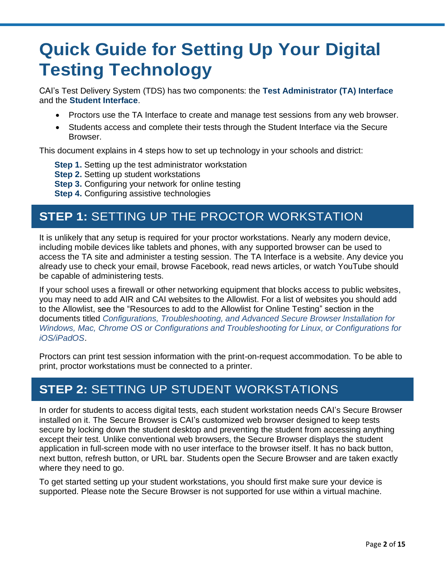## **Quick Guide for Setting Up Your Digital Testing Technology**

CAI's Test Delivery System (TDS) has two components: the **Test Administrator (TA) Interface** and the **Student Interface**.

- Proctors use the TA Interface to create and manage test sessions from any web browser.
- Students access and complete their tests through the Student Interface via the Secure Browser.

This document explains in 4 steps how to set up technology in your schools and district:

- **Step 1.** Setting up the test administrator workstation
- **Step 2.** Setting up student workstations
- **Step 3.** Configuring your network for online testing
- **Step 4.** Configuring assistive technologies

## **STEP 1:** SETTING UP THE PROCTOR WORKSTATION

It is unlikely that any setup is required for your proctor workstations. Nearly any modern device, including mobile devices like tablets and phones, with any supported browser can be used to access the TA site and administer a testing session. The TA Interface is a website. Any device you already use to check your email, browse Facebook, read news articles, or watch YouTube should be capable of administering tests.

If your school uses a firewall or other networking equipment that blocks access to public websites, you may need to add AIR and CAI websites to the Allowlist. For a list of websites you should add to the Allowlist, see the "Resources to add to the Allowlist for Online Testing" section in the documents titled *Configurations, Troubleshooting, and Advanced Secure Browser Installation for Windows, Mac, Chrome OS or Configurations and Troubleshooting for Linux, or Configurations for iOS/iPadOS*.

Proctors can print test session information with the print-on-request accommodation. To be able to print, proctor workstations must be connected to a printer.

## **STEP 2:** SETTING UP STUDENT WORKSTATIONS

In order for students to access digital tests, each student workstation needs CAI's Secure Browser installed on it. The Secure Browser is CAI's customized web browser designed to keep tests secure by locking down the student desktop and preventing the student from accessing anything except their test. Unlike conventional web browsers, the Secure Browser displays the student application in full-screen mode with no user interface to the browser itself. It has no back button, next button, refresh button, or URL bar. Students open the Secure Browser and are taken exactly where they need to go.

To get started setting up your student workstations, you should first make sure your device is supported. Please note the Secure Browser is not supported for use within a virtual machine.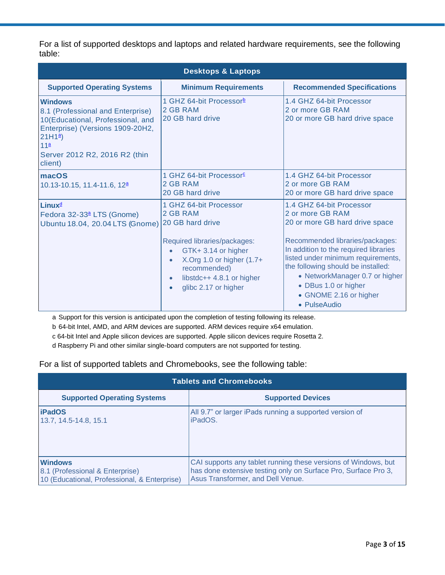For a list of supported desktops and laptops and related hardware requirements, see the following table:

| <b>Desktops &amp; Laptops</b>                                                                                                                                                                                         |                                                                                                                                                                                               |                                                                                                                                                                                                                                                                                                                                            |  |  |
|-----------------------------------------------------------------------------------------------------------------------------------------------------------------------------------------------------------------------|-----------------------------------------------------------------------------------------------------------------------------------------------------------------------------------------------|--------------------------------------------------------------------------------------------------------------------------------------------------------------------------------------------------------------------------------------------------------------------------------------------------------------------------------------------|--|--|
| <b>Supported Operating Systems</b>                                                                                                                                                                                    | <b>Minimum Requirements</b>                                                                                                                                                                   | <b>Recommended Specifications</b>                                                                                                                                                                                                                                                                                                          |  |  |
| <b>Windows</b><br>8.1 (Professional and Enterprise)<br>10(Educational, Professional, and<br>Enterprise) (Versions 1909-20H2,<br>$21H1^{\underline{a}}$<br>11 <sup>a</sup><br>Server 2012 R2, 2016 R2 (thin<br>client) | 1 GHZ 64-bit Processor <sup>b</sup><br>2 GB RAM<br>20 GB hard drive                                                                                                                           | 1.4 GHZ 64-bit Processor<br>2 or more GB RAM<br>20 or more GB hard drive space                                                                                                                                                                                                                                                             |  |  |
| macOS<br>10.13-10.15, 11.4-11.6, 12 <sup>a</sup>                                                                                                                                                                      | 1 GHZ 64-bit Processor <sup>c</sup><br>2 GB RAM<br>20 GB hard drive                                                                                                                           | 1.4 GHZ 64-bit Processor<br>2 or more GB RAM<br>20 or more GB hard drive space                                                                                                                                                                                                                                                             |  |  |
| Linux <sup>d</sup><br>Fedora 32-33 <sup>ª</sup> LTS (Gnome)<br>Ubuntu 18.04, 20.04 LTS (Gnome) 20 GB hard drive                                                                                                       | 1 GHZ 64-bit Processor<br>2 GB RAM<br>Required libraries/packages:<br>GTK+3.14 or higher<br>X.Org 1.0 or higher $(1.7+)$<br>recommended)<br>libstdc++ 4.8.1 or higher<br>glibc 2.17 or higher | 1.4 GHZ 64-bit Processor<br>2 or more GB RAM<br>20 or more GB hard drive space<br>Recommended libraries/packages:<br>In addition to the required libraries<br>listed under minimum requirements,<br>the following should be installed:<br>• NetworkManager 0.7 or higher<br>• DBus 1.0 or higher<br>• GNOME 2.16 or higher<br>• PulseAudio |  |  |

<span id="page-2-0"></span>a Support for this version is anticipated upon the completion of testing following its release.

<span id="page-2-1"></span>b 64-bit Intel, AMD, and ARM devices are supported. ARM devices require x64 emulation.

<span id="page-2-2"></span>c 64-bit Intel and Apple silicon devices are supported. Apple silicon devices require Rosetta 2.

<span id="page-2-3"></span>d Raspberry Pi and other similar single-board computers are not supported for testing.

For a list of supported tablets and Chromebooks, see the following table:

| <b>Tablets and Chromebooks</b>               |                                                                |  |
|----------------------------------------------|----------------------------------------------------------------|--|
| <b>Supported Operating Systems</b>           | <b>Supported Devices</b>                                       |  |
| <b>iPadOS</b>                                | All 9.7" or larger iPads running a supported version of        |  |
| 13.7, 14.5-14.8, 15.1                        | iPadOS.                                                        |  |
| <b>Windows</b>                               | CAI supports any tablet running these versions of Windows, but |  |
| 8.1 (Professional & Enterprise)              | has done extensive testing only on Surface Pro, Surface Pro 3, |  |
| 10 (Educational, Professional, & Enterprise) | Asus Transformer, and Dell Venue.                              |  |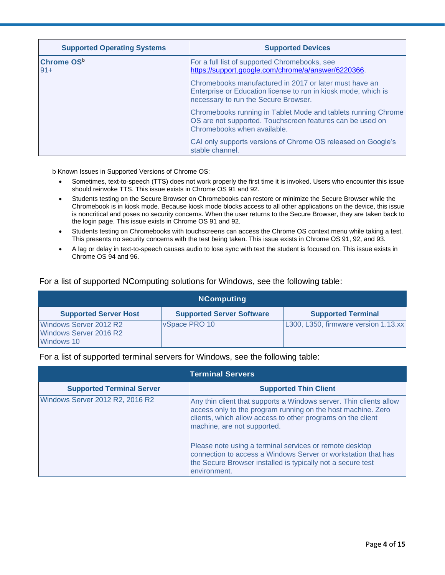| <b>Supported Operating Systems</b> | <b>Supported Devices</b>                                                                                                                                         |
|------------------------------------|------------------------------------------------------------------------------------------------------------------------------------------------------------------|
| Chrome OS <sup>b</sup><br>$91+$    | For a full list of supported Chromebooks, see<br>https://support.google.com/chrome/a/answer/6220366.                                                             |
|                                    | Chromebooks manufactured in 2017 or later must have an<br>Enterprise or Education license to run in kiosk mode, which is<br>necessary to run the Secure Browser. |
|                                    | Chromebooks running in Tablet Mode and tablets running Chrome<br>OS are not supported. Touchscreen features can be used on<br>Chromebooks when available.        |
|                                    | CAI only supports versions of Chrome OS released on Google's<br>stable channel.                                                                                  |

<span id="page-3-0"></span>b Known Issues in Supported Versions of Chrome OS:

- Sometimes, text-to-speech (TTS) does not work properly the first time it is invoked. Users who encounter this issue should reinvoke TTS. This issue exists in Chrome OS 91 and 92.
- Students testing on the Secure Browser on Chromebooks can restore or minimize the Secure Browser while the Chromebook is in kiosk mode. Because kiosk mode blocks access to all other applications on the device, this issue is noncritical and poses no security concerns. When the user returns to the Secure Browser, they are taken back to the login page. This issue exists in Chrome OS 91 and 92.
- Students testing on Chromebooks with touchscreens can access the Chrome OS context menu while taking a test. This presents no security concerns with the test being taken. This issue exists in Chrome OS 91, 92, and 93.
- A lag or delay in text-to-speech causes audio to lose sync with text the student is focused on. This issue exists in Chrome OS 94 and 96.

| <b>NComputing</b>                                              |                                  |                                      |
|----------------------------------------------------------------|----------------------------------|--------------------------------------|
| <b>Supported Server Host</b>                                   | <b>Supported Server Software</b> | <b>Supported Terminal</b>            |
| Windows Server 2012 R2<br>Windows Server 2016 R2<br>Windows 10 | VSpace PRO 10                    | L300, L350, firmware version 1.13.xx |

For a list of supported NComputing solutions for Windows, see the following table:

For a list of supported terminal servers for Windows, see the following table:

| <b>Terminal Servers</b>          |                                                                                                                                                                                                                                  |
|----------------------------------|----------------------------------------------------------------------------------------------------------------------------------------------------------------------------------------------------------------------------------|
| <b>Supported Terminal Server</b> | <b>Supported Thin Client</b>                                                                                                                                                                                                     |
| Windows Server 2012 R2, 2016 R2  | Any thin client that supports a Windows server. Thin clients allow<br>access only to the program running on the host machine. Zero<br>clients, which allow access to other programs on the client<br>machine, are not supported. |
|                                  | Please note using a terminal services or remote desktop<br>connection to access a Windows Server or workstation that has<br>the Secure Browser installed is typically not a secure test<br>environment.                          |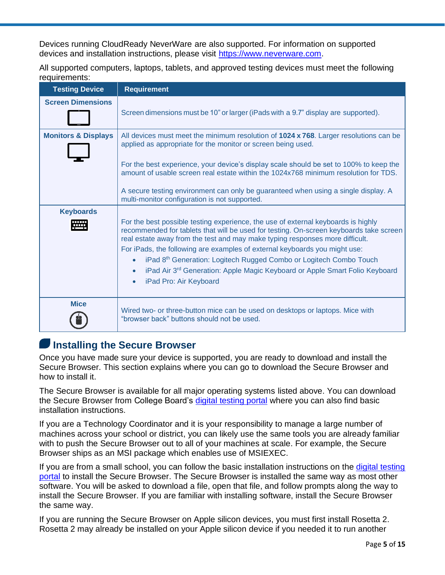Devices running CloudReady NeverWare are also supported. For information on supported devices and installation instructions, please visit [https://www.neverware.com.](https://www.neverware.com/)

All supported computers, laptops, tablets, and approved testing devices must meet the following requirements:

| <b>Testing Device</b>          | <b>Requirement</b>                                                                                                                                                                                                                                                                                                                                                                                                                                                                                                                                                                      |
|--------------------------------|-----------------------------------------------------------------------------------------------------------------------------------------------------------------------------------------------------------------------------------------------------------------------------------------------------------------------------------------------------------------------------------------------------------------------------------------------------------------------------------------------------------------------------------------------------------------------------------------|
| <b>Screen Dimensions</b>       | Screen dimensions must be 10" or larger (iPads with a 9.7" display are supported).                                                                                                                                                                                                                                                                                                                                                                                                                                                                                                      |
| <b>Monitors &amp; Displays</b> | All devices must meet the minimum resolution of 1024 x 768. Larger resolutions can be<br>applied as appropriate for the monitor or screen being used.                                                                                                                                                                                                                                                                                                                                                                                                                                   |
|                                | For the best experience, your device's display scale should be set to 100% to keep the<br>amount of usable screen real estate within the 1024x768 minimum resolution for TDS.                                                                                                                                                                                                                                                                                                                                                                                                           |
|                                | A secure testing environment can only be guaranteed when using a single display. A<br>multi-monitor configuration is not supported.                                                                                                                                                                                                                                                                                                                                                                                                                                                     |
| <b>Keyboards</b><br>₩₩         | For the best possible testing experience, the use of external keyboards is highly<br>recommended for tablets that will be used for testing. On-screen keyboards take screen<br>real estate away from the test and may make typing responses more difficult.<br>For iPads, the following are examples of external keyboards you might use:<br>iPad 8 <sup>th</sup> Generation: Logitech Rugged Combo or Logitech Combo Touch<br>$\bullet$<br>iPad Air 3 <sup>rd</sup> Generation: Apple Magic Keyboard or Apple Smart Folio Keyboard<br>$\bullet$<br>iPad Pro: Air Keyboard<br>$\bullet$ |
| <b>Mice</b>                    | Wired two- or three-button mice can be used on desktops or laptops. Mice with<br>"browser back" buttons should not be used.                                                                                                                                                                                                                                                                                                                                                                                                                                                             |

#### **Installing the Secure Browser**

Once you have made sure your device is supported, you are ready to download and install the Secure Browser. This section explains where you can go to download the Secure Browser and how to install it.

The Secure Browser is available for all major operating systems listed above. You can download the Secure Browser from College Board's [digital testing portal](https://digitaltesting.collegeboard.org/digital-preparedness/cb-secure-browser-installation) where you can also find basic installation instructions.

If you are a Technology Coordinator and it is your responsibility to manage a large number of machines across your school or district, you can likely use the same tools you are already familiar with to push the Secure Browser out to all of your machines at scale. For example, the Secure Browser ships as an MSI package which enables use of MSIEXEC.

If you are from a small school, you can follow the basic installation instructions on the [digital testing](https://digitaltesting.collegeboard.org/digital-preparedness/cb-secure-browser-installation) [portal](https://digitaltesting.collegeboard.org/digital-preparedness/cb-secure-browser-installation) to install the Secure Browser. The Secure Browser is installed the same way as most other software. You will be asked to download a file, open that file, and follow prompts along the way to install the Secure Browser. If you are familiar with installing software, install the Secure Browser the same way.

If you are running the Secure Browser on Apple silicon devices, you must first install Rosetta 2. Rosetta 2 may already be installed on your Apple silicon device if you needed it to run another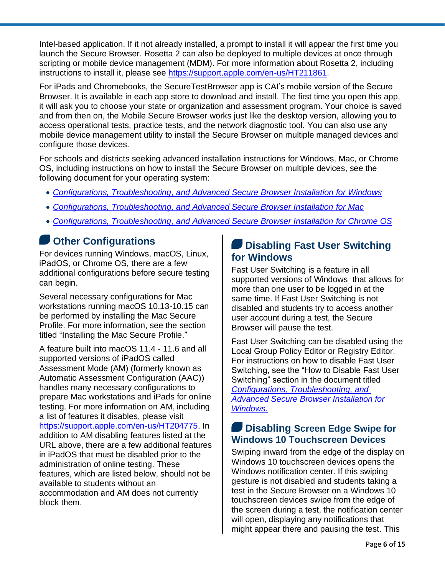Intel-based application. If it not already installed, a prompt to install it will appear the first time you launch the Secure Browser. Rosetta 2 can also be deployed to multiple devices at once through scripting or mobile device management (MDM). For more information about Rosetta 2, including instructions to install it, please see [https://support.apple.com/en-us/HT211861.](https://support.apple.com/en-us/HT211861)

For iPads and Chromebooks, the SecureTestBrowser app is CAI's mobile version of the Secure Browser. It is available in each app store to download and install. The first time you open this app, it will ask you to choose your state or organization and assessment program. Your choice is saved and from then on, the Mobile Secure Browser works just like the desktop version, allowing you to access operational tests, practice tests, and the network diagnostic tool. You can also use any mobile device management utility to install the Secure Browser on multiple managed devices and configure those devices.

For schools and districts seeking advanced installation instructions for Windows, Mac, or Chrome OS, including instructions on how to install the Secure Browser on multiple devices, see the following document for your operating system:

- *[Configurations, Troubleshooting,](https://digitaltesting.collegeboard.org/pdf/windows-technology-guide.pdf) and Advanced Secure Browser Installation for Windows*
- *Configurations, Troubleshooting, [and Advanced Secure Browser Installation for Mac](https://digitaltesting.collegeboard.org/pdf/mac-os-technology-guide.pdf)*
- *Configurations, Troubleshooting, [and Advanced Secure Browser Installation for Chrome OS](https://digitaltesting.collegeboard.org/pdf/chrome-os-technology-guide.pdf)*

## **Other Configurations**

For devices running Windows, macOS, Linux, iPadOS, or Chrome OS, there are a few additional configurations before secure testing can begin.

Several necessary configurations for Mac workstations running macOS 10.13-10.15 can be performed by installing the Mac Secure Profile. For more information, see the section titled "Installing the Mac Secure Profile."

A feature built into macOS 11.4 - 11.6 and all supported versions of iPadOS called Assessment Mode (AM) (formerly known as Automatic Assessment Configuration (AAC)) handles many necessary configurations to prepare Mac workstations and iPads for online testing. For more information on AM, including a list of features it disables, please visit [https://support.apple.com/en-us/HT204775.](https://support.apple.com/en-us/HT204775) In addition to AM disabling features listed at the URL above, there are a few additional features in iPadOS that must be disabled prior to the administration of online testing. These features, which are listed below, should not be available to students without an accommodation and AM does not currently block them.

#### **Disabling Fast User Switching for Windows**

Fast User Switching is a feature in all supported versions of Windows that allows for more than one user to be logged in at the same time. If Fast User Switching is not disabled and students try to access another user account during a test, the Secure Browser will pause the test.

Fast User Switching can be disabled using the Local Group Policy Editor or Registry Editor. For instructions on how to disable Fast User Switching, see the "How to Disable Fast User Switching" section in the document titled *[Configurations, Troubleshooting,](https://digitaltesting.collegeboard.org/pdf/windows-technology-guide.pdf) and [Advanced Secure Browser Installation for](https://digitaltesting.collegeboard.org/pdf/windows-technology-guide.pdf)  [Windows](https://digitaltesting.collegeboard.org/pdf/windows-technology-guide.pdf)*.

#### **Disabling Screen Edge Swipe for Windows 10 Touchscreen Devices**

Swiping inward from the edge of the display on Windows 10 touchscreen devices opens the Windows notification center. If this swiping gesture is not disabled and students taking a test in the Secure Browser on a Windows 10 touchscreen devices swipe from the edge of the screen during a test, the notification center will open, displaying any notifications that might appear there and pausing the test. This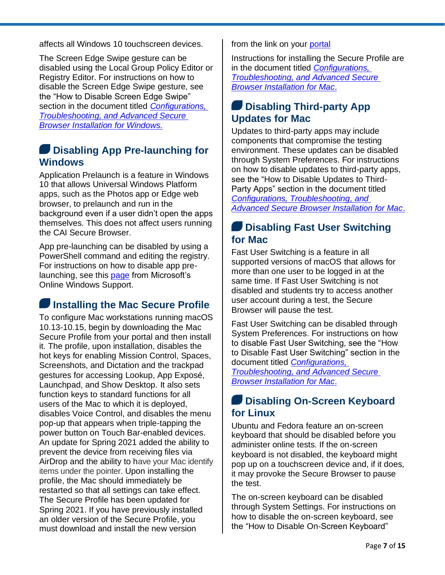affects all Windows 10 touchscreen devices.

The Screen Edge Swipe gesture can be disabled using the Local Group Policy Editor or Registry Editor. For instructions on how to disable the Screen Edge Swipe gesture, see the "How to Disable Screen Edge Swipe" section in the document titled *[Configurations,](https://digitaltesting.collegeboard.org/pdf/windows-technology-guide.pdf)  [Troubleshooting, and Advanced Secure](https://digitaltesting.collegeboard.org/pdf/windows-technology-guide.pdf)  [Browser Installation for Windows.](https://digitaltesting.collegeboard.org/pdf/windows-technology-guide.pdf)*

#### **Disabling App Pre-launching for Windows**

Application Prelaunch is a feature in Windows 10 that allows Universal Windows Platform apps, such as the Photos app or Edge web browser, to prelaunch and run in the background even if a user didn't open the apps themselves. This does not affect users running the CAI Secure Browser.

App pre-launching can be disabled by using a PowerShell command and editing the registry. For instructions on how to disable app prelaunching, see this [page](https://support.microsoft.com/en-us/help/4338725/k-12-assessment-unexpected-reports-apps-running-background-windows-10) from Microsoft's Online Windows Support.

#### **Installing the Mac Secure Profile**

To configure Mac workstations running macOS 10.13-10.15, begin by downloading the Mac Secure Profile from your portal and then install it. The profile, upon installation, disables the hot keys for enabling Mission Control, Spaces, Screenshots, and Dictation and the trackpad gestures for accessing Lookup, App Exposé, Launchpad, and Show Desktop. It also sets function keys to standard functions for all users of the Mac to which it is deployed, disables Voice Control, and disables the menu pop-up that appears when triple-tapping the power button on Touch Bar-enabled devices. An update for Spring 2021 added the ability to prevent the device from receiving files via AirDrop and the ability to have your Mac identify items under the pointer. Upon installing the profile, the Mac should immediately be restarted so that all settings can take effect. The Secure Profile has been updated for Spring 2021. If you have previously installed an older version of the Secure Profile, you must download and install the new version

from the link on your [portal](https://digitaltesting.collegeboard.org/digital-preparedness/cb-secure-browser-installation)

Instructions for installing the Secure Profile are in the document titled *[Configurations,](https://digitaltesting.collegeboard.org/pdf/mac-os-technology-guide.pdf)  [Troubleshooting, and Advanced Secure](https://digitaltesting.collegeboard.org/pdf/mac-os-technology-guide.pdf)  [Browser Installation for Mac](https://digitaltesting.collegeboard.org/pdf/mac-os-technology-guide.pdf)*.

#### **Disabling Third-party App Updates for Mac**

Updates to third-party apps may include components that compromise the testing environment. These updates can be disabled through System Preferences. For instructions on how to disable updates to third-party apps, see the "How to Disable Updates to Third-Party Apps" section in the document titled *[Configurations, Troubleshooting,](https://digitaltesting.collegeboard.org/pdf/mac-os-technology-guide.pdf) and [Advanced Secure Browser Installation for Mac](https://digitaltesting.collegeboard.org/pdf/mac-os-technology-guide.pdf)*.

#### **Disabling Fast User Switching for Mac**

Fast User Switching is a feature in all supported versions of macOS that allows for more than one user to be logged in at the same time. If Fast User Switching is not disabled and students try to access another user account during a test, the Secure Browser will pause the test.

Fast User Switching can be disabled through System Preferences. For instructions on how to disable Fast User Switching, see the "How to Disable Fast User Switching" section in the document titled *[Configurations,](https://digitaltesting.collegeboard.org/pdf/mac-os-technology-guide.pdf)* 

*[Troubleshooting, and Advanced Secure](https://digitaltesting.collegeboard.org/pdf/mac-os-technology-guide.pdf)  [Browser Installation for Mac](https://digitaltesting.collegeboard.org/pdf/mac-os-technology-guide.pdf)*.

#### **Disabling On-Screen Keyboard for Linux**

Ubuntu and Fedora feature an on-screen keyboard that should be disabled before you administer online tests. If the on-screen keyboard is not disabled, the keyboard might pop up on a touchscreen device and, if it does, it may provoke the Secure Browser to pause the test.

The on-screen keyboard can be disabled through System Settings. For instructions on how to disable the on-screen keyboard, see the "How to Disable On-Screen Keyboard"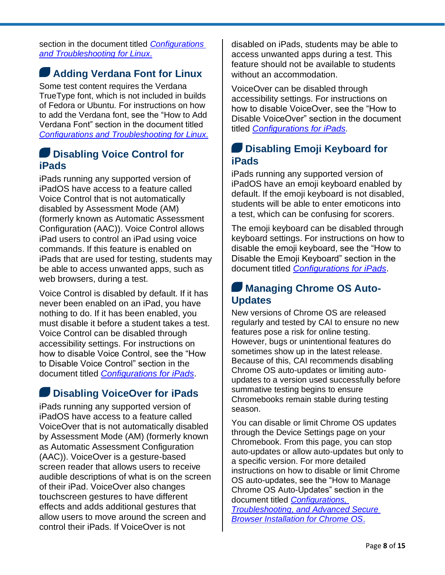section in the document titled *[Configurations](https://digitaltesting.collegeboard.org/pdf/linux-technology-guide.pdf)  [and Troubleshooting](https://digitaltesting.collegeboard.org/pdf/linux-technology-guide.pdf) for Linux*.

#### **Adding Verdana Font for Linux**

Some test content requires the Verdana TrueType font, which is not included in builds of Fedora or Ubuntu. For instructions on how to add the Verdana font, see the "How to Add Verdana Font" section in the document titled *Configurations and [Troubleshooting for Linux.](https://digitaltesting.collegeboard.org/pdf/linux-technology-guide.pdf)*

#### **Disabling Voice Control for iPads**

iPads running any supported version of iPadOS have access to a feature called Voice Control that is not automatically disabled by Assessment Mode (AM) (formerly known as Automatic Assessment Configuration (AAC)). Voice Control allows iPad users to control an iPad using voice commands. If this feature is enabled on iPads that are used for testing, students may be able to access unwanted apps, such as web browsers, during a test.

Voice Control is disabled by default. If it has never been enabled on an iPad, you have nothing to do. If it has been enabled, you must disable it before a student takes a test. Voice Control can be disabled through accessibility settings. For instructions on how to disable Voice Control, see the "How to Disable Voice Control" section in the document titled *[Configurations for iPads](https://digitaltesting.collegeboard.org/pdf/ios-ipados-technology-guide.pdf)*.

#### **Disabling VoiceOver for iPads**

iPads running any supported version of iPadOS have access to a feature called VoiceOver that is not automatically disabled by Assessment Mode (AM) (formerly known as Automatic Assessment Configuration (AAC)). VoiceOver is a gesture-based screen reader that allows users to receive audible descriptions of what is on the screen of their iPad. VoiceOver also changes touchscreen gestures to have different effects and adds additional gestures that allow users to move around the screen and control their iPads. If VoiceOver is not

disabled on iPads, students may be able to access unwanted apps during a test. This feature should not be available to students without an accommodation.

VoiceOver can be disabled through accessibility settings. For instructions on how to disable VoiceOver, see the "How to Disable VoiceOver" section in the document titled *[Configurations for iPads](https://digitaltesting.collegeboard.org/pdf/ios-ipados-technology-guide.pdf)*.

#### **Disabling Emoji Keyboard for iPads**

iPads running any supported version of iPadOS have an emoji keyboard enabled by default. If the emoji keyboard is not disabled, students will be able to enter emoticons into a test, which can be confusing for scorers.

The emoji keyboard can be disabled through keyboard settings. For instructions on how to disable the emoji keyboard, see the "How to Disable the Emoji Keyboard" section in the document titled *[Configurations for iPads](https://digitaltesting.collegeboard.org/pdf/ios-ipados-technology-guide.pdf)*.

#### **Managing Chrome OS Auto-Updates**

New versions of Chrome OS are released regularly and tested by CAI to ensure no new features pose a risk for online testing. However, bugs or unintentional features do sometimes show up in the latest release. Because of this, CAI recommends disabling Chrome OS auto-updates or limiting autoupdates to a version used successfully before summative testing begins to ensure Chromebooks remain stable during testing season.

You can disable or limit Chrome OS updates through the Device Settings page on your Chromebook. From this page, you can stop auto-updates or allow auto-updates but only to a specific version. For more detailed instructions on how to disable or limit Chrome OS auto-updates, see the "How to Manage Chrome OS Auto-Updates" section in the document titled *[Configurations,](https://digitaltesting.collegeboard.org/pdf/chrome-os-technology-guide.pdf)  Troubleshooting, [and Advanced Secure](https://digitaltesting.collegeboard.org/pdf/chrome-os-technology-guide.pdf)  [Browser Installation for Chrome OS](https://digitaltesting.collegeboard.org/pdf/chrome-os-technology-guide.pdf)*.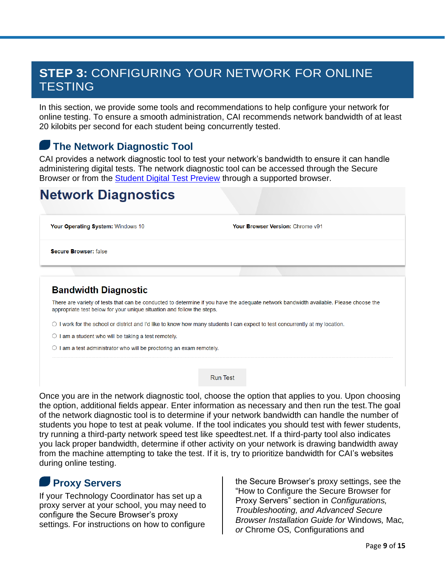## **STEP 3:** CONFIGURING YOUR NETWORK FOR ONLINE **TESTING**

In this section, we provide some tools and recommendations to help configure your network for online testing. To ensure a smooth administration, CAI recommends network bandwidth of at least 20 kilobits per second for each student being concurrently tested.

#### **The Network Diagnostic Tool**

CAI provides a network diagnostic tool to test your network's bandwidth to ensure it can handle administering digital tests. The network diagnostic tool can be accessed through the Secure Browser or from the [Student Digital Test Preview](https://cbpt.tds.cambiumast.com/student) through a supported browser.

## **Network Diagnostics**

Your Operating System: Windows 10

Your Browser Version: Chrome v91

**Secure Browser: false** 

#### **Bandwidth Diagnostic**

There are variety of tests that can be conducted to determine if you have the adequate network bandwidth available. Please choose the appropriate test below for your unique situation and follow the steps.

 $\circ$  I work for the school or district and I'd like to know how many students I can expect to test concurrently at my location.

 $\bigcirc$  I am a student who will be taking a test remotely.

O I am a test administrator who will be proctoring an exam remotely.

**Run Test** 

Once you are in the network diagnostic tool, choose the option that applies to you. Upon choosing the option, additional fields appear. Enter information as necessary and then run the test.The goal of the network diagnostic tool is to determine if your network bandwidth can handle the number of students you hope to test at peak volume. If the tool indicates you should test with fewer students, try running a third-party network speed test like speedtest.net. If a third-party tool also indicates you lack proper bandwidth, determine if other activity on your network is drawing bandwidth away from the machine attempting to take the test. If it is, try to prioritize bandwidth for CAI's websites during online testing.

#### **Proxy Servers**

If your Technology Coordinator has set up a proxy server at your school, you may need to configure the Secure Browser's proxy settings. For instructions on how to configure

the Secure Browser's proxy settings, see the "How to Configure the Secure Browser for Proxy Servers" section in *Configurations, Troubleshooting, and Advanced Secure Browser Installation Guide for* Windows*,* Mac*, or* Chrome OS*,* Configurations and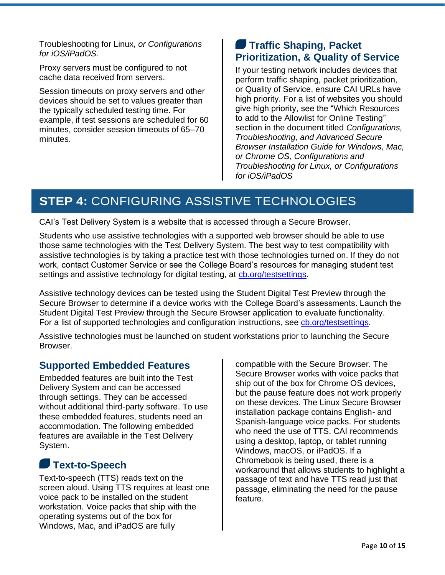Troubleshooting for Linux*, or Configurations for iOS/iPadOS.*

Proxy servers must be configured to not cache data received from servers.

Session timeouts on proxy servers and other devices should be set to values greater than the typically scheduled testing time. For example, if test sessions are scheduled for 60 minutes, consider session timeouts of 65–70 minutes.

#### **Traffic Shaping, Packet Prioritization, & Quality of Service**

If your testing network includes devices that perform traffic shaping, packet prioritization, or Quality of Service, ensure CAI URLs have high priority. For a list of websites you should give high priority, see the "Which Resources to add to the Allowlist for Online Testing" section in the document titled *Configurations, Troubleshooting, and Advanced Secure Browser Installation Guide for Windows, Mac, or Chrome OS, Configurations and Troubleshooting for Linux, or Configurations for iOS/iPadOS*

## **STEP 4:** CONFIGURING ASSISTIVE TECHNOLOGIES

CAI's Test Delivery System is a website that is accessed through a Secure Browser.

Students who use assistive technologies with a supported web browser should be able to use those same technologies with the Test Delivery System. The best way to test compatibility with assistive technologies is by taking a practice test with those technologies turned on. If they do not work, contact Customer Service or see the College Board's resources for managing student test settings and assistive technology for digital testing, at [cb.org/testsettings.](http://cb.org/testsettings)

Assistive technology devices can be tested using the Student Digital Test Preview through the Secure Browser to determine if a device works with the College Board's assessments. Launch the Student Digital Test Preview through the Secure Browser application to evaluate functionality. For a list of supported technologies and configuration instructions, see [cb.org/testsettings.](http://cb.org/testsettings)

Assistive technologies must be launched on student workstations prior to launching the Secure Browser.

#### **Supported Embedded Features**

Embedded features are built into the Test Delivery System and can be accessed through settings. They can be accessed without additional third-party software. To use these embedded features, students need an accommodation. The following embedded features are available in the Test Delivery System.

## **Text-to-Speech**

Text-to-speech (TTS) reads text on the screen aloud. Using TTS requires at least one voice pack to be installed on the student workstation. Voice packs that ship with the operating systems out of the box for Windows, Mac, and iPadOS are fully

compatible with the Secure Browser. The Secure Browser works with voice packs that ship out of the box for Chrome OS devices, but the pause feature does not work properly on these devices. The Linux Secure Browser installation package contains English- and Spanish-language voice packs. For students who need the use of TTS, CAI recommends using a desktop, laptop, or tablet running Windows, macOS, or iPadOS. If a Chromebook is being used, there is a workaround that allows students to highlight a passage of text and have TTS read just that passage, eliminating the need for the pause feature.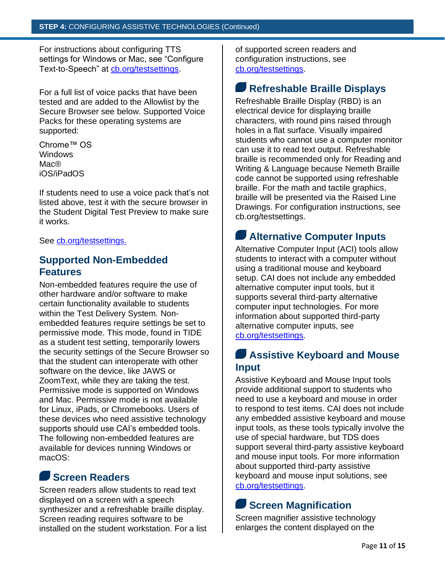For instructions about configuring TTS settings for Windows or Mac, see "Configure Text-to-Speech" at [cb.org/testsettings.](http://cb.org/testsettings)

For a full list of voice packs that have been tested and are added to the Allowlist by the Secure Browser see below. Supported Voice Packs for these operating systems are supported:

Chrome™ OS Windows Mac® iOS/iPadOS

If students need to use a voice pack that's not listed above, test it with the secure browser in the Student Digital Test Preview to make sure it works.

See [cb.org/testsettings.](http://cb.org/testsettings)

#### **Supported Non-Embedded Features**

Non-embedded features require the use of other hardware and/or software to make certain functionality available to students within the Test Delivery System. Nonembedded features require settings be set to permissive mode. This mode, found in TIDE as a student test setting, temporarily lowers the security settings of the Secure Browser so that the student can interoperate with other software on the device, like JAWS or ZoomText, while they are taking the test. Permissive mode is supported on Windows and Mac. Permissive mode is not available for Linux, iPads, or Chromebooks. Users of these devices who need assistive technology supports should use CAI's embedded tools. The following non-embedded features are available for devices running Windows or macOS:

#### **Screen Readers**

Screen readers allow students to read text displayed on a screen with a speech synthesizer and a refreshable braille display. Screen reading requires software to be installed on the student workstation. For a list of supported screen readers and configuration instructions, see [cb.org/testsettings.](http://cb.org/testsettings)

#### **Refreshable Braille Displays**

Refreshable Braille Display (RBD) is an electrical device for displaying braille characters, with round pins raised through holes in a flat surface. Visually impaired students who cannot use a computer monitor can use it to read text output. Refreshable braille is recommended only for Reading and Writing & Language because Nemeth Braille code cannot be supported using refreshable braille. For the math and tactile graphics, braille will be presented via the Raised Line Drawings. For configuration instructions, see [cb.org/testsettings.](http://cb.org/testsettings)

#### **Alternative Computer Inputs**

Alternative Computer Input (ACI) tools allow students to interact with a computer without using a traditional mouse and keyboard setup. CAI does not include any embedded alternative computer input tools, but it supports several third-party alternative computer input technologies. For more information about supported third-party alternative computer inputs, see [cb.org/testsettings.](http://cb.org/testsettings)

#### **Assistive Keyboard and Mouse Input**

Assistive Keyboard and Mouse Input tools provide additional support to students who need to use a keyboard and mouse in order to respond to test items. CAI does not include any embedded assistive keyboard and mouse input tools, as these tools typically involve the use of special hardware, but TDS does support several third-party assistive keyboard and mouse input tools. For more information about supported third-party assistive keyboard and mouse input solutions, see [cb.org/testsettings.](http://cb.org/testsettings)

## **Screen Magnification**

Screen magnifier assistive technology enlarges the content displayed on the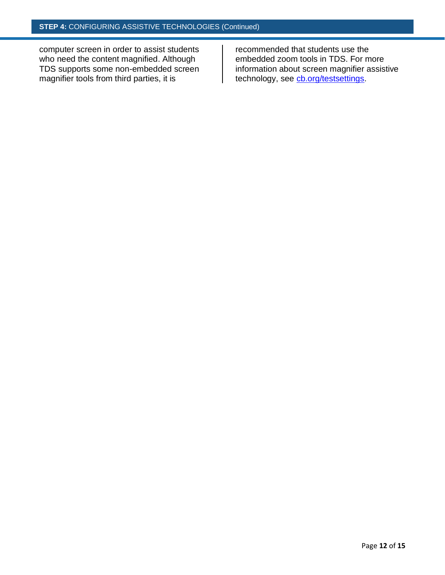computer screen in order to assist students who need the content magnified. Although TDS supports some non-embedded screen magnifier tools from third parties, it is

recommended that students use the embedded zoom tools in TDS. For more information about screen magnifier assistive technology, see [cb.org/testsettings.](http://cb.org/testsettings)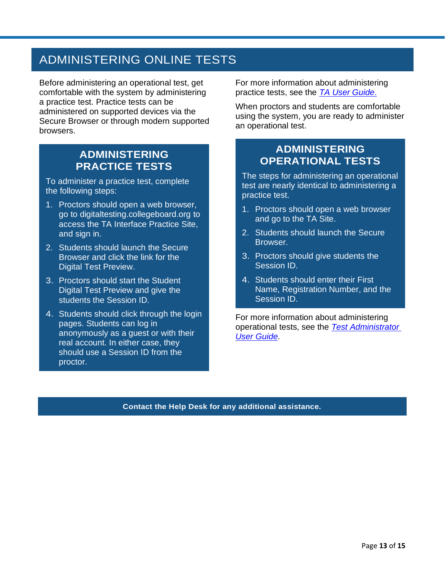## ADMINISTERING ONLINE TESTS

Before administering an operational test, get comfortable with the system by administering a practice test. Practice tests can be administered on supported devices via the Secure Browser or through modern supported browsers.

#### **ADMINISTERING PRACTICE TESTS**

To administer a practice test, complete the following steps:

- 1. Proctors should open a web browser, go to digitaltesting.collegeboard.org to access the TA Interface Practice Site, and sign in.
- 2. Students should launch the Secure Browser and click the link for the Digital Test Preview.
- 3. Proctors should start the Student Digital Test Preview and give the students the Session ID.
- 4. Students should click through the login pages. Students can log in anonymously as a guest or with their real account. In either case, they should use a Session ID from the proctor.

For more information about administering practice tests, see the *[TA User Guide](https://digitaltesting.collegeboard.org/pdf/test-administrator-user-guide.pdf)*.

When proctors and students are comfortable using the system, you are ready to administer an operational test.

#### **ADMINISTERING OPERATIONAL TESTS**

The steps for administering an operational test are nearly identical to administering a practice test.

- 1. Proctors should open a web browser and go to the TA Site.
- 2. Students should launch the Secure Browser.
- 3. Proctors should give students the Session ID.
- 4. Students should enter their First Name, Registration Number, and the Session ID.

For more information about administering operational tests, see the *[Test Administrator](https://digitaltesting.collegeboard.org/pdf/test-administrator-user-guide.pdf) [User Guide](https://digitaltesting.collegeboard.org/pdf/test-administrator-user-guide.pdf)*.

**Contact the Help Desk for any additional assistance.**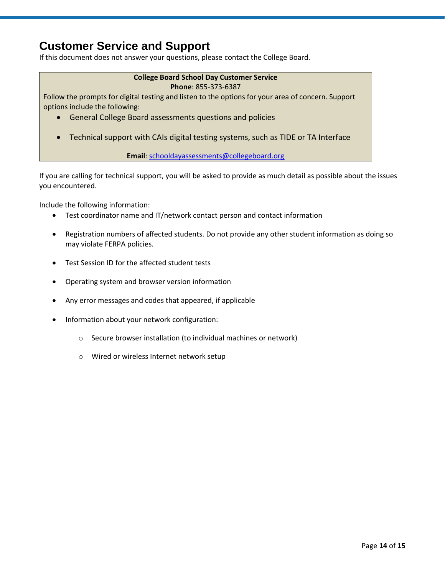### **Customer Service and Support**

If this document does not answer your questions, please contact the College Board.

#### **College Board School Day Customer Service Phone**: 855-373-6387

Follow the prompts for digital testing and listen to the options for your area of concern. Support options include the following:

- General College Board assessments questions and policies
- Technical support with CAIs digital testing systems, such as TIDE or TA Interface

**Email**: schooldayassessments@collegeboard.org

If you are calling for technical support, you will be asked to provide as much detail as possible about the issues you encountered.

Include the following information:

- Test coordinator name and IT/network contact person and contact information
- Registration numbers of affected students. Do not provide any other student information as doing so may violate FERPA policies.
- Test Session ID for the affected student tests
- Operating system and browser version information
- Any error messages and codes that appeared, if applicable
- Information about your network configuration:
	- o Secure browser installation (to individual machines or network)
	- o Wired or wireless Internet network setup